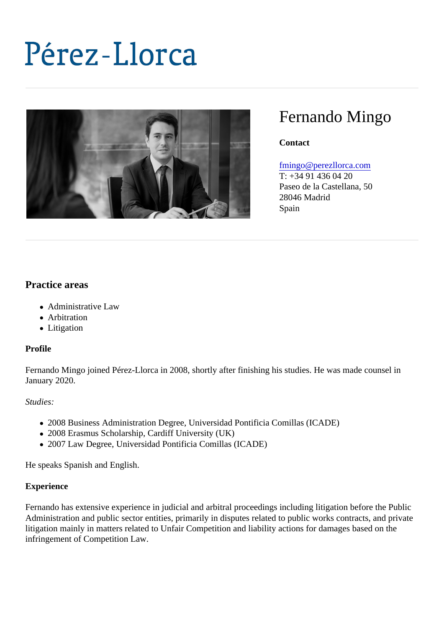# Fernando Mingo

**Contact** 

## [fmingo@perezllorca.co](mailto:fmingo@perezllorca.com)m

T: +34 91 436 04 20 Paseo de la Castellana, 50 28046 Madrid Spain

# Practice areas

- Administrative Law
- Arbitration
- Litigation

## Profile

Fernando Mingo joined Pérez-Llorca in 2008, shortly after finishing his studies. He was made counsel in January 2020.

## Studies:

- 2008 Business Administration Degree, Universidad Pontificia Comillas (ICADE)
- 2008 Erasmus Scholarship, Cardiff University (UK)
- 2007 Law Degree, Universidad Pontificia Comillas (ICADE)

He speaks Spanish and English.

## **Experience**

Fernando has extensive experience in judicial and arbitral proceedings including litigation before the Publi Administration and public sector entities, primarily in disputes related to public works contracts, and private litigation mainly in matters related to Unfair Competition and liability actions for damages based on the infringement of Competition Law.